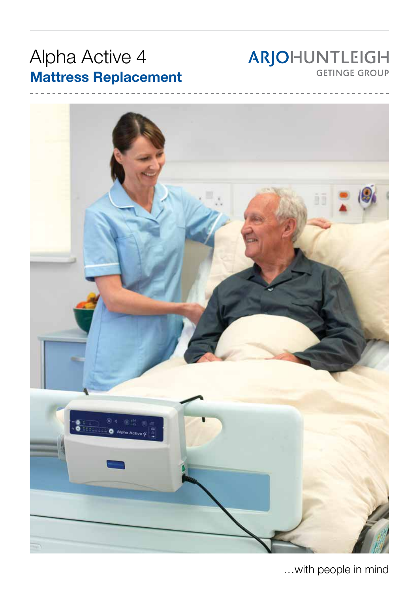## Alpha Active 4 Mattress Replacement

# **ARJOHUNTLEIGH**



…with people in mind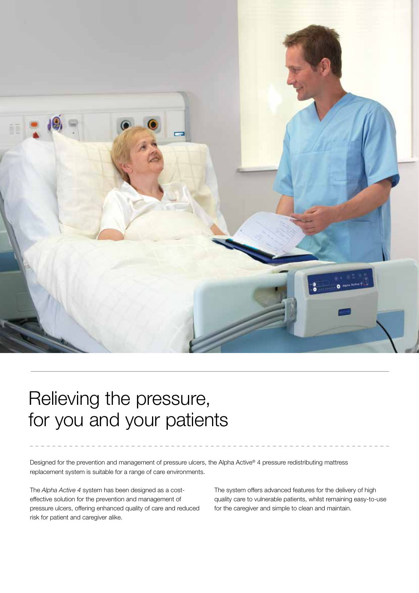

## Relieving the pressure, for you and your patients

Designed for the prevention and management of pressure ulcers, the Alpha Active® 4 pressure redistributing mattress replacement system is suitable for a range of care environments.

The *Alpha Active 4* system has been designed as a costeffective solution for the prevention and management of pressure ulcers, offering enhanced quality of care and reduced risk for patient and caregiver alike.

The system offers advanced features for the delivery of high quality care to vulnerable patients, whilst remaining easy-to-use for the caregiver and simple to clean and maintain.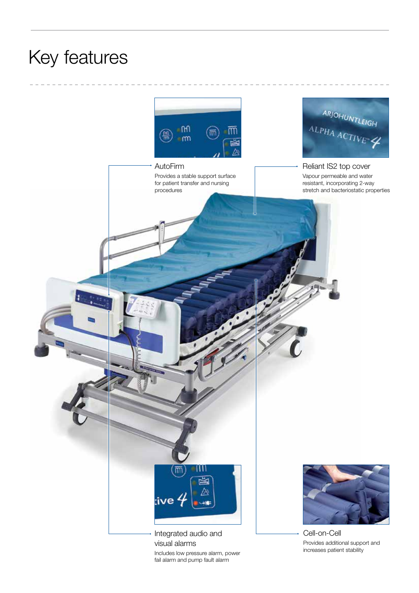

Includes low pressure alarm, power fail alarm and pump fault alarm

Provides additional support and increases patient stability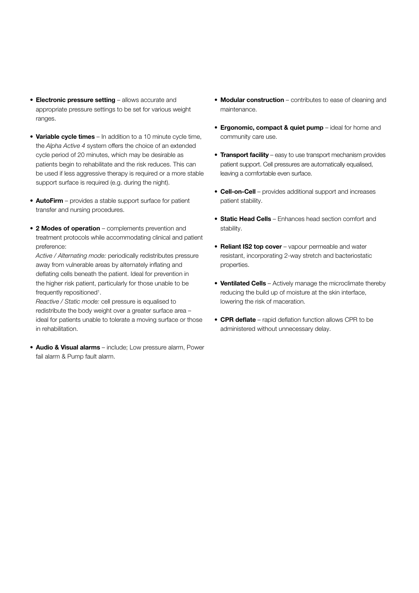- Electronic pressure setting allows accurate and appropriate pressure settings to be set for various weight ranges.
- Variable cycle times In addition to a 10 minute cycle time, the *Alpha Active 4* system offers the choice of an extended cycle period of 20 minutes, which may be desirable as patients begin to rehabilitate and the risk reduces. This can be used if less aggressive therapy is required or a more stable support surface is required (e.g. during the night).
- AutoFirm provides a stable support surface for patient transfer and nursing procedures.
- 2 Modes of operation complements prevention and treatment protocols while accommodating clinical and patient preference:

 *Active / Alternating mode:* periodically redistributes pressure away from vulnerable areas by alternately inflating and deflating cells beneath the patient. Ideal for prevention in the higher risk patient, particularly for those unable to be frequently repositioned<sup>1</sup>.

 *Reactive / Static mode:* cell pressure is equalised to redistribute the body weight over a greater surface area – ideal for patients unable to tolerate a moving surface or those in rehabilitation.

• Audio & Visual alarms – include; Low pressure alarm, Power fail alarm & Pump fault alarm.

- Modular construction contributes to ease of cleaning and maintenance.
- Ergonomic, compact & quiet pump ideal for home and community care use.
- Transport facility easy to use transport mechanism provides patient support. Cell pressures are automatically equalised, leaving a comfortable even surface.
- Cell-on-Cell provides additional support and increases patient stability.
- Static Head Cells Enhances head section comfort and stability.
- Reliant IS2 top cover vapour permeable and water resistant, incorporating 2-way stretch and bacteriostatic properties.
- Ventilated Cells Actively manage the microclimate thereby reducing the build up of moisture at the skin interface, lowering the risk of maceration.
- CPR deflate rapid deflation function allows CPR to be administered without unnecessary delay.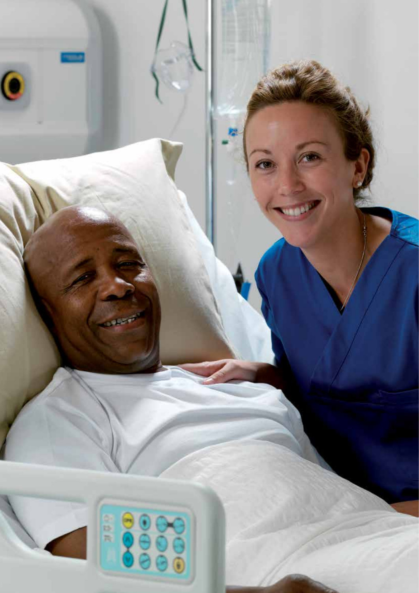